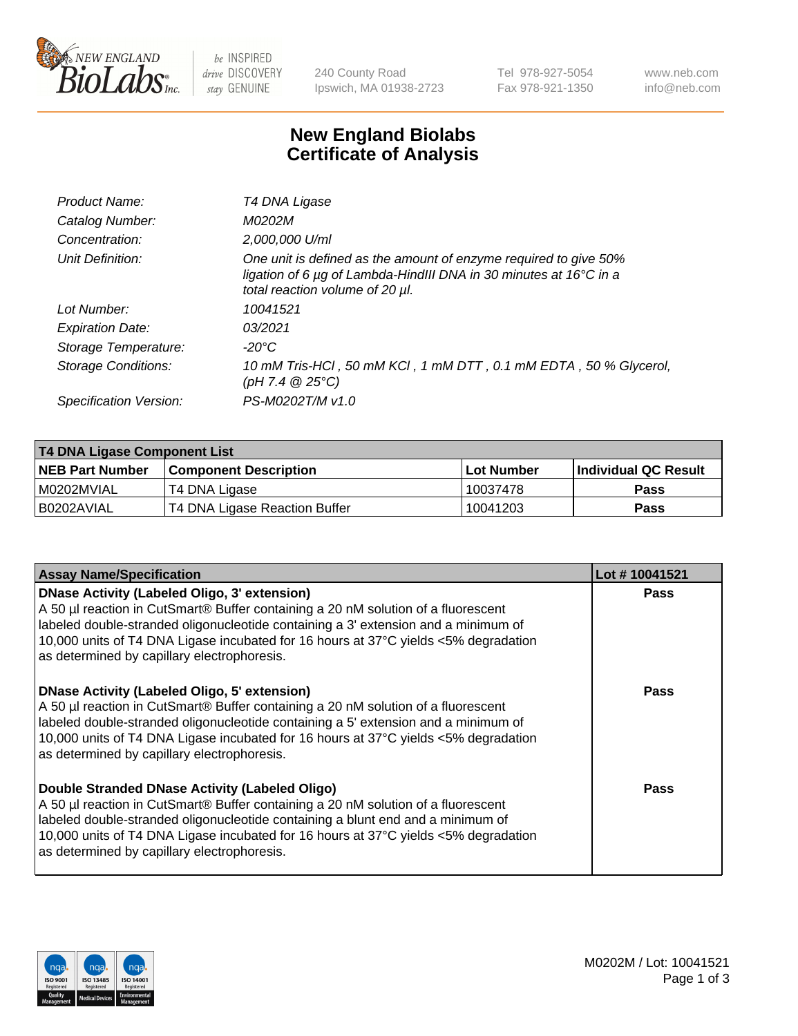

be INSPIRED drive DISCOVERY stay GENUINE

240 County Road Ipswich, MA 01938-2723 Tel 978-927-5054 Fax 978-921-1350 www.neb.com info@neb.com

## **New England Biolabs Certificate of Analysis**

| T4 DNA Ligase                                                                                                                                                            |
|--------------------------------------------------------------------------------------------------------------------------------------------------------------------------|
| M0202M                                                                                                                                                                   |
| 2,000,000 U/ml                                                                                                                                                           |
| One unit is defined as the amount of enzyme required to give 50%<br>ligation of 6 µg of Lambda-HindIII DNA in 30 minutes at 16°C in a<br>total reaction volume of 20 µl. |
| 10041521                                                                                                                                                                 |
| 03/2021                                                                                                                                                                  |
| $-20^{\circ}$ C                                                                                                                                                          |
| 10 mM Tris-HCl, 50 mM KCl, 1 mM DTT, 0.1 mM EDTA, 50 % Glycerol,<br>(pH 7.4 $@25°C$ )                                                                                    |
| PS-M0202T/M v1.0                                                                                                                                                         |
|                                                                                                                                                                          |

| T4 DNA Ligase Component List |                               |              |                             |  |  |
|------------------------------|-------------------------------|--------------|-----------------------------|--|--|
| <b>NEB Part Number</b>       | l Component Description       | l Lot Number | <b>Individual QC Result</b> |  |  |
| I M0202MVIAL                 | T4 DNA Ligase                 | 10037478     | <b>Pass</b>                 |  |  |
| I B0202AVIAL                 | T4 DNA Ligase Reaction Buffer | 10041203     | <b>Pass</b>                 |  |  |

| <b>Assay Name/Specification</b>                                                                                                                                                                                                                                                                                                                               | Lot #10041521 |
|---------------------------------------------------------------------------------------------------------------------------------------------------------------------------------------------------------------------------------------------------------------------------------------------------------------------------------------------------------------|---------------|
| DNase Activity (Labeled Oligo, 3' extension)<br>A 50 µl reaction in CutSmart® Buffer containing a 20 nM solution of a fluorescent<br>labeled double-stranded oligonucleotide containing a 3' extension and a minimum of<br>10,000 units of T4 DNA Ligase incubated for 16 hours at 37°C yields <5% degradation<br>as determined by capillary electrophoresis. | <b>Pass</b>   |
| DNase Activity (Labeled Oligo, 5' extension)<br>A 50 µl reaction in CutSmart® Buffer containing a 20 nM solution of a fluorescent<br>labeled double-stranded oligonucleotide containing a 5' extension and a minimum of<br>10,000 units of T4 DNA Ligase incubated for 16 hours at 37°C yields <5% degradation<br>as determined by capillary electrophoresis. | <b>Pass</b>   |
| Double Stranded DNase Activity (Labeled Oligo)<br>A 50 µl reaction in CutSmart® Buffer containing a 20 nM solution of a fluorescent<br>abeled double-stranded oligonucleotide containing a blunt end and a minimum of<br>10,000 units of T4 DNA Ligase incubated for 16 hours at 37°C yields <5% degradation<br>as determined by capillary electrophoresis.   | Pass          |

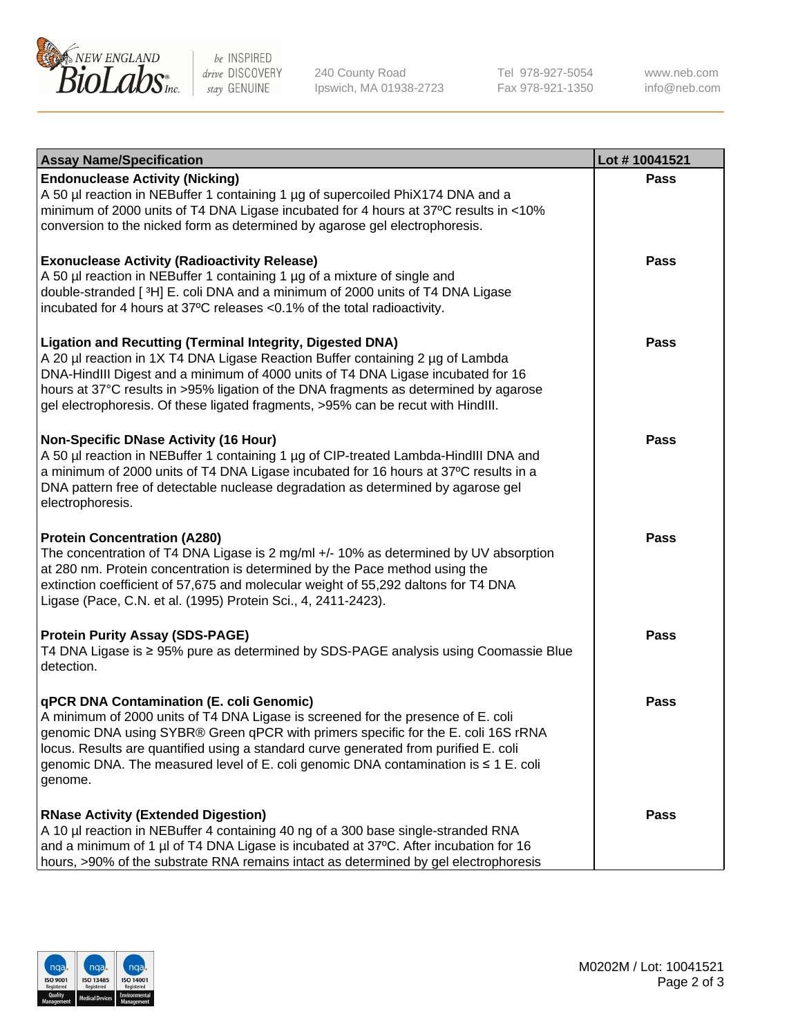

be INSPIRED drive DISCOVERY stay GENUINE

240 County Road Ipswich, MA 01938-2723 Tel 978-927-5054 Fax 978-921-1350 www.neb.com info@neb.com

| <b>Assay Name/Specification</b>                                                                                                                                                                                                                                                                                                                                                                                    | Lot #10041521 |
|--------------------------------------------------------------------------------------------------------------------------------------------------------------------------------------------------------------------------------------------------------------------------------------------------------------------------------------------------------------------------------------------------------------------|---------------|
| <b>Endonuclease Activity (Nicking)</b><br>A 50 µl reaction in NEBuffer 1 containing 1 µg of supercoiled PhiX174 DNA and a<br>minimum of 2000 units of T4 DNA Ligase incubated for 4 hours at 37°C results in <10%<br>conversion to the nicked form as determined by agarose gel electrophoresis.                                                                                                                   | <b>Pass</b>   |
| <b>Exonuclease Activity (Radioactivity Release)</b><br>A 50 µl reaction in NEBuffer 1 containing 1 µg of a mixture of single and<br>double-stranded [3H] E. coli DNA and a minimum of 2000 units of T4 DNA Ligase<br>incubated for 4 hours at 37°C releases <0.1% of the total radioactivity.                                                                                                                      | <b>Pass</b>   |
| <b>Ligation and Recutting (Terminal Integrity, Digested DNA)</b><br>A 20 µl reaction in 1X T4 DNA Ligase Reaction Buffer containing 2 µg of Lambda<br>DNA-HindIII Digest and a minimum of 4000 units of T4 DNA Ligase incubated for 16<br>hours at 37°C results in >95% ligation of the DNA fragments as determined by agarose<br>gel electrophoresis. Of these ligated fragments, >95% can be recut with HindIII. | <b>Pass</b>   |
| <b>Non-Specific DNase Activity (16 Hour)</b><br>A 50 µl reaction in NEBuffer 1 containing 1 µg of CIP-treated Lambda-HindIII DNA and<br>a minimum of 2000 units of T4 DNA Ligase incubated for 16 hours at 37°C results in a<br>DNA pattern free of detectable nuclease degradation as determined by agarose gel<br>electrophoresis.                                                                               | <b>Pass</b>   |
| <b>Protein Concentration (A280)</b><br>The concentration of T4 DNA Ligase is 2 mg/ml +/- 10% as determined by UV absorption<br>at 280 nm. Protein concentration is determined by the Pace method using the<br>extinction coefficient of 57,675 and molecular weight of 55,292 daltons for T4 DNA<br>Ligase (Pace, C.N. et al. (1995) Protein Sci., 4, 2411-2423).                                                  | <b>Pass</b>   |
| <b>Protein Purity Assay (SDS-PAGE)</b><br>T4 DNA Ligase is ≥ 95% pure as determined by SDS-PAGE analysis using Coomassie Blue<br>detection.                                                                                                                                                                                                                                                                        | <b>Pass</b>   |
| qPCR DNA Contamination (E. coli Genomic)<br>A minimum of 2000 units of T4 DNA Ligase is screened for the presence of E. coli<br>genomic DNA using SYBR® Green qPCR with primers specific for the E. coli 16S rRNA<br>locus. Results are quantified using a standard curve generated from purified E. coli<br>genomic DNA. The measured level of E. coli genomic DNA contamination is ≤ 1 E. coli<br>genome.        | Pass          |
| <b>RNase Activity (Extended Digestion)</b><br>A 10 µl reaction in NEBuffer 4 containing 40 ng of a 300 base single-stranded RNA<br>and a minimum of 1 µl of T4 DNA Ligase is incubated at 37°C. After incubation for 16<br>hours, >90% of the substrate RNA remains intact as determined by gel electrophoresis                                                                                                    | <b>Pass</b>   |